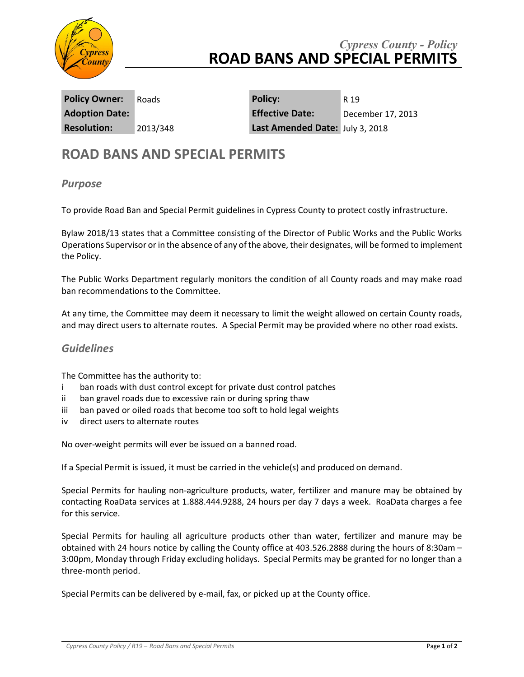

## *Cypress County - Policy* **ROAD BANS AND SPECIAL PERMITS**

**Policy Owner:** Roads **Policy:** R 19 **Adoption Date: Effective Date:** December 17, 2013 **Resolution:** 2013/348 **Last Amended Date:** July 3, 2018

## **ROAD BANS AND SPECIAL PERMITS**

## *Purpose*

To provide Road Ban and Special Permit guidelines in Cypress County to protect costly infrastructure.

Bylaw 2018/13 states that a Committee consisting of the Director of Public Works and the Public Works Operations Supervisor or in the absence of any of the above, their designates, will be formed to implement the Policy.

The Public Works Department regularly monitors the condition of all County roads and may make road ban recommendations to the Committee.

At any time, the Committee may deem it necessary to limit the weight allowed on certain County roads, and may direct users to alternate routes. A Special Permit may be provided where no other road exists.

## *Guidelines*

The Committee has the authority to:

- i ban roads with dust control except for private dust control patches
- ii ban gravel roads due to excessive rain or during spring thaw
- iii ban paved or oiled roads that become too soft to hold legal weights
- iv direct users to alternate routes

No over-weight permits will ever be issued on a banned road.

If a Special Permit is issued, it must be carried in the vehicle(s) and produced on demand.

Special Permits for hauling non-agriculture products, water, fertilizer and manure may be obtained by contacting RoaData services at 1.888.444.9288, 24 hours per day 7 days a week. RoaData charges a fee for this service.

Special Permits for hauling all agriculture products other than water, fertilizer and manure may be obtained with 24 hours notice by calling the County office at 403.526.2888 during the hours of 8:30am – 3:00pm, Monday through Friday excluding holidays. Special Permits may be granted for no longer than a three-month period.

Special Permits can be delivered by e-mail, fax, or picked up at the County office.